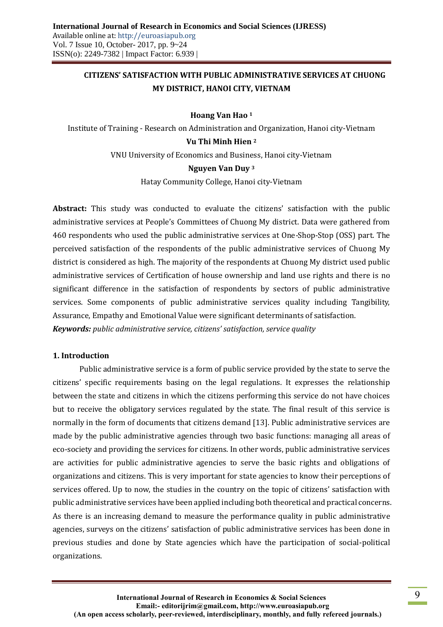# **CITIZENS' SATISFACTION WITH PUBLIC ADMINISTRATIVE SERVICES AT CHUONG MY DISTRICT, HANOI CITY, VIETNAM**

### **Hoang Van Hao <sup>1</sup>**

Institute of Training - Research on Administration and Organization, Hanoi city-Vietnam

### **Vu Thi Minh Hien <sup>2</sup>**

VNU University of Economics and Business, Hanoi city-Vietnam

### **Nguyen Van Duy <sup>3</sup>**

Hatay Community College, Hanoi city-Vietnam

**Abstract:** This study was conducted to evaluate the citizens' satisfaction with the public administrative services at People's Committees of Chuong My district. Data were gathered from 460 respondents who used the public administrative services at One-Shop-Stop (OSS) part. The perceived satisfaction of the respondents of the public administrative services of Chuong My district is considered as high. The majority of the respondents at Chuong My district used public administrative services of Certification of house ownership and land use rights and there is no significant difference in the satisfaction of respondents by sectors of public administrative services. Some components of public administrative services quality including Tangibility, Assurance, Empathy and Emotional Value were significant determinants of satisfaction. *Keywords: public administrative service, citizens' satisfaction, service quality* 

### **1. Introduction**

Public administrative service is a form of public service provided by the state to serve the citizens' specific requirements basing on the legal regulations. It expresses the relationship between the state and citizens in which the citizens performing this service do not have choices but to receive the obligatory services regulated by the state. The final result of this service is normally in the form of documents that citizens demand [13]. Public administrative services are made by the public administrative agencies through two basic functions: managing all areas of eco-society and providing the services for citizens. In other words, public administrative services are activities for public administrative agencies to serve the basic rights and obligations of organizations and citizens. This is very important for state agencies to know their perceptions of services offered. Up to now, the studies in the country on the topic of citizens' satisfaction with public administrative services have been applied including both theoretical and practical concerns. As there is an increasing demand to measure the performance quality in public administrative agencies, surveys on the citizens' satisfaction of public administrative services has been done in previous studies and done by State agencies which have the participation of social-political organizations.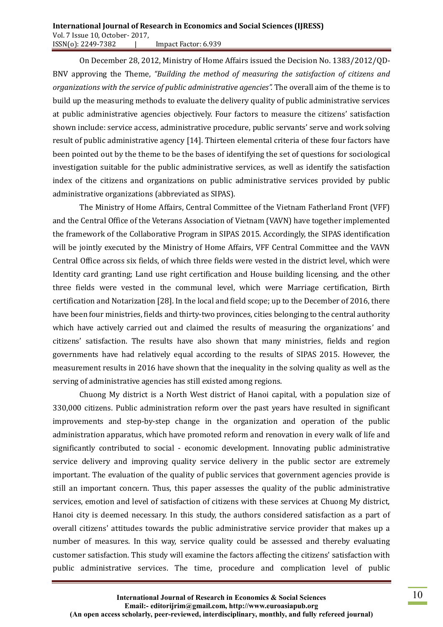#### **International Journal of Research in Economics and Social Sciences (IJRESS)** Vol. 7 Issue 10, October- 2017, ISSN(o): 2249-7382 | Impact Factor: 6.939

On December 28, 2012, Ministry of Home Affairs issued the Decision No. 1383/2012/QD-BNV approving the Theme, *"Building the method of measuring the satisfaction of citizens and organizations with the service of public administrative agencies".* The overall aim of the theme is to build up the measuring methods to evaluate the delivery quality of public administrative services at public administrative agencies objectively. Four factors to measure the citizens' satisfaction shown include: service access, administrative procedure, public servants' serve and work solving result of public administrative agency [14]. Thirteen elemental criteria of these four factors have been pointed out by the theme to be the bases of identifying the set of questions for sociological investigation suitable for the public administrative services, as well as identify the satisfaction index of the citizens and organizations on public administrative services provided by public administrative organizations (abbreviated as SIPAS).

The Ministry of Home Affairs, Central Committee of the Vietnam Fatherland Front (VFF) and the Central Office of the Veterans Association of Vietnam (VAVN) have together implemented the framework of the Collaborative Program in SIPAS 2015. Accordingly, the SIPAS identification will be jointly executed by the Ministry of Home Affairs, VFF Central Committee and the VAVN Central Office across six fields, of which three fields were vested in the district level, which were Identity card granting; Land use right certification and House building licensing, and the other three fields were vested in the communal level, which were Marriage certification, Birth certification and Notarization [28]. In the local and field scope; up to the December of 2016, there have been four ministries, fields and thirty-two provinces, cities belonging to the central authority which have actively carried out and claimed the results of measuring the organizations' and citizens' satisfaction. The results have also shown that many ministries, fields and region governments have had relatively equal according to the results of SIPAS 2015. However, the measurement results in 2016 have shown that the inequality in the solving quality as well as the serving of administrative agencies has still existed among regions.

Chuong My district is a North West district of Hanoi capital, with a population size of 330,000 citizens. Public administration reform over the past years have resulted in significant improvements and step-by-step change in the organization and operation of the public administration apparatus, which have promoted reform and renovation in every walk of life and significantly contributed to social - economic development. Innovating public administrative service delivery and improving quality service delivery in the public sector are extremely important. The evaluation of the quality of public services that government agencies provide is still an important concern. Thus, this paper assesses the quality of the public administrative services, emotion and level of satisfaction of citizens with these services at Chuong My district, Hanoi city is deemed necessary. In this study, the authors considered satisfaction as a part of overall citizens' attitudes towards the public administrative service provider that makes up a number of measures. In this way, service quality could be assessed and thereby evaluating customer satisfaction. This study will examine the factors affecting the citizens' satisfaction with public administrative services. The time, procedure and complication level of public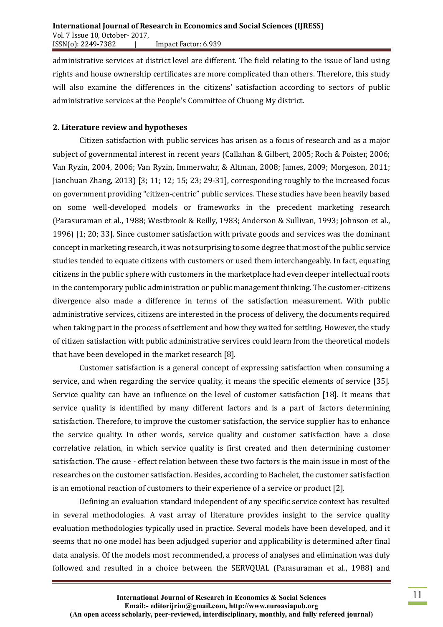administrative services at district level are different. The field relating to the issue of land using rights and house ownership certificates are more complicated than others. Therefore, this study will also examine the differences in the citizens' satisfaction according to sectors of public administrative services at the People's Committee of Chuong My district.

### **2. Literature review and hypotheses**

Citizen satisfaction with public services has arisen as a focus of research and as a major subject of governmental interest in recent years (Callahan & Gilbert, 2005; Roch & Poister, 2006; Van Ryzin, 2004, 2006; Van Ryzin, Immerwahr, & Altman, 2008; James, 2009; Morgeson, 2011; Jianchuan Zhang, 2013) [3; 11; 12; 15; 23; 29-31], corresponding roughly to the increased focus on government providing "citizen-centric" public services. These studies have been heavily based on some well-developed models or frameworks in the precedent marketing research (Parasuraman et al., 1988; Westbrook & Reilly, 1983; Anderson & Sullivan, 1993; Johnson et al., 1996) [1; 20; 33]. Since customer satisfaction with private goods and services was the dominant concept in marketing research, it was not surprising to some degree that most of the public service studies tended to equate citizens with customers or used them interchangeably. In fact, equating citizens in the public sphere with customers in the marketplace had even deeper intellectual roots in the contemporary public administration or public management thinking. The customer-citizens divergence also made a difference in terms of the satisfaction measurement. With public administrative services, citizens are interested in the process of delivery, the documents required when taking part in the process of settlement and how they waited for settling. However, the study of citizen satisfaction with public administrative services could learn from the theoretical models that have been developed in the market research [8].

Customer satisfaction is a general concept of expressing satisfaction when consuming a service, and when regarding the service quality, it means the specific elements of service [35]. Service quality can have an influence on the level of customer satisfaction [18]. It means that service quality is identified by many different factors and is a part of factors determining satisfaction. Therefore, to improve the customer satisfaction, the service supplier has to enhance the service quality. In other words, service quality and customer satisfaction have a close correlative relation, in which service quality is first created and then determining customer satisfaction. The cause - effect relation between these two factors is the main issue in most of the researches on the customer satisfaction. Besides, according to Bachelet, the customer satisfaction is an emotional reaction of customers to their experience of a service or product [2].

Defining an evaluation standard independent of any specific service context has resulted in several methodologies. A vast array of literature provides insight to the service quality evaluation methodologies typically used in practice. Several models have been developed, and it seems that no one model has been adjudged superior and applicability is determined after final data analysis. Of the models most recommended, a process of analyses and elimination was duly followed and resulted in a choice between the SERVQUAL (Parasuraman et al., 1988) and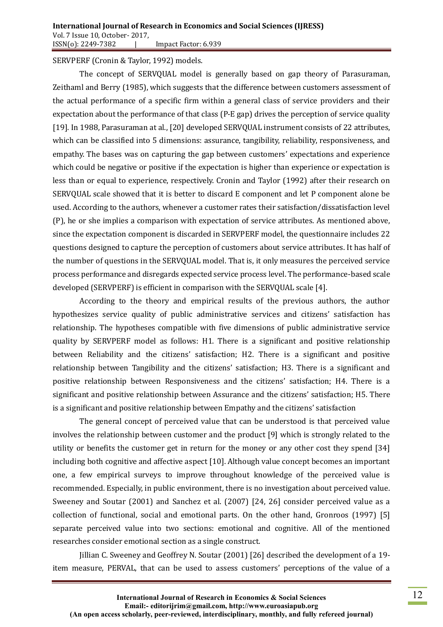SERVPERF (Cronin & Taylor, 1992) models.

The concept of SERVQUAL model is generally based on gap theory of Parasuraman, Zeithaml and Berry (1985), which suggests that the difference between customers assessment of the actual performance of a specific firm within a general class of service providers and their expectation about the performance of that class (P-E gap) drives the perception of service quality [19]. In 1988, Parasuraman at al., [20] developed SERVQUAL instrument consists of 22 attributes, which can be classified into 5 dimensions: assurance, tangibility, reliability, responsiveness, and empathy. The bases was on capturing the gap between customers' expectations and experience which could be negative or positive if the expectation is higher than experience or expectation is less than or equal to experience, respectively. Cronin and Taylor (1992) after their research on SERVQUAL scale showed that it is better to discard E component and let P component alone be used. According to the authors, whenever a customer rates their satisfaction/dissatisfaction level (P), he or she implies a comparison with expectation of service attributes. As mentioned above, since the expectation component is discarded in SERVPERF model, the questionnaire includes 22 questions designed to capture the perception of customers about service attributes. It has half of the number of questions in the SERVQUAL model. That is, it only measures the perceived service process performance and disregards expected service process level. The performance-based scale developed (SERVPERF) is efficient in comparison with the SERVQUAL scale [4].

According to the theory and empirical results of the previous authors, the author hypothesizes service quality of public administrative services and citizens' satisfaction has relationship. The hypotheses compatible with five dimensions of public administrative service quality by SERVPERF model as follows: H1. There is a significant and positive relationship between Reliability and the citizens' satisfaction; H2. There is a significant and positive relationship between Tangibility and the citizens' satisfaction; H3. There is a significant and positive relationship between Responsiveness and the citizens' satisfaction; H4. There is a significant and positive relationship between Assurance and the citizens' satisfaction; H5. There is a significant and positive relationship between Empathy and the citizens' satisfaction

The general concept of perceived value that can be understood is that perceived value involves the relationship between customer and the product [9] which is strongly related to the utility or benefits the customer get in return for the money or any other cost they spend [34] including both cognitive and affective aspect [10]. Although value concept becomes an important one, a few empirical surveys to improve throughout knowledge of the perceived value is recommended. Especially, in public environment, there is no investigation about perceived value. Sweeney and Soutar (2001) and Sanchez et al. (2007) [24, 26] consider perceived value as a collection of functional, social and emotional parts. On the other hand, Gronroos (1997) [5] separate perceived value into two sections: emotional and cognitive. All of the mentioned researches consider emotional section as a single construct.

Jillian C. Sweeney and Geoffrey N. Soutar (2001) [26] described the development of a 19 item measure, PERVAL, that can be used to assess customers' perceptions of the value of a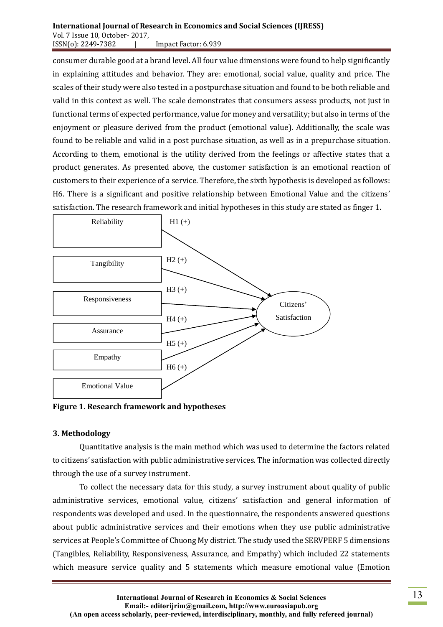consumer durable good at a brand level. All four value dimensions were found to help significantly in explaining attitudes and behavior. They are: emotional, social value, quality and price. The scales of their study were also tested in a postpurchase situation and found to be both reliable and valid in this context as well. The scale demonstrates that consumers assess products, not just in functional terms of expected performance, value for money and versatility; but also in terms of the enjoyment or pleasure derived from the product (emotional value). Additionally, the scale was found to be reliable and valid in a post purchase situation, as well as in a prepurchase situation. According to them, emotional is the utility derived from the feelings or affective states that a product generates. As presented above, the customer satisfaction is an emotional reaction of customers to their experience of a service. Therefore, the sixth hypothesis is developed as follows: H6. There is a significant and positive relationship between Emotional Value and the citizens' satisfaction. The research framework and initial hypotheses in this study are stated as finger 1.



**Figure 1. Research framework and hypotheses**

## **3. Methodology**

Quantitative analysis is the main method which was used to determine the factors related to citizens' satisfaction with public administrative services. The information was collected directly through the use of a survey instrument.

To collect the necessary data for this study, a survey instrument about quality of public administrative services, emotional value, citizens' satisfaction and general information of respondents was developed and used. In the questionnaire, the respondents answered questions about public administrative services and their emotions when they use public administrative services at People's Committee of Chuong My district. The study used the SERVPERF 5 dimensions (Tangibles, Reliability, Responsiveness, Assurance, and Empathy) which included 22 statements which measure service quality and 5 statements which measure emotional value (Emotion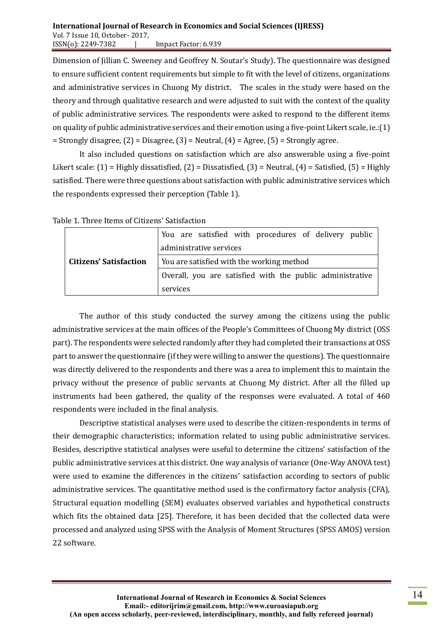Dimension of Jillian C. Sweeney and Geoffrey N. Soutar's Study). The questionnaire was designed to ensure sufficient content requirements but simple to fit with the level of citizens, organizations and administrative services in Chuong My district. The scales in the study were based on the theory and through qualitative research and were adjusted to suit with the context of the quality of public administrative services. The respondents were asked to respond to the different items on quality of public administrative services and their emotion using a five-point Likert scale, ie.:(1)  $=$  Strongly disagree,  $(2)$  = Disagree,  $(3)$  = Neutral,  $(4)$  = Agree,  $(5)$  = Strongly agree.

It also included questions on satisfaction which are also answerable using a five-point Likert scale:  $(1)$  = Highly dissatisfied,  $(2)$  = Dissatisfied,  $(3)$  = Neutral,  $(4)$  = Satisfied,  $(5)$  = Highly satisfied. There were three questions about satisfaction with public administrative services which the respondents expressed their perception (Table 1).

|                                                                            | You are satisfied with procedures of delivery public<br>administrative services |  |  |  |  |
|----------------------------------------------------------------------------|---------------------------------------------------------------------------------|--|--|--|--|
| <b>Citizens' Satisfaction</b><br>You are satisfied with the working method |                                                                                 |  |  |  |  |
| Overall, you are satisfied with the public administrative                  |                                                                                 |  |  |  |  |
|                                                                            | services                                                                        |  |  |  |  |

Table 1. Three Items of Citizens' Satisfaction

The author of this study conducted the survey among the citizens using the public administrative services at the main offices of the People's Committees of Chuong My district (OSS part). The respondents were selected randomly after they had completed their transactions at OSS part to answer the questionnaire (if they were willing to answer the questions). The questionnaire was directly delivered to the respondents and there was a area to implement this to maintain the privacy without the presence of public servants at Chuong My district. After all the filled up instruments had been gathered, the quality of the responses were evaluated. A total of 460 respondents were included in the final analysis.

Descriptive statistical analyses were used to describe the citizen-respondents in terms of their demographic characteristics; information related to using public administrative services. Besides, descriptive statistical analyses were useful to determine the citizens' satisfaction of the public administrative services at this district. One way analysis of variance (One-Way ANOVA test) were used to examine the differences in the citizens' satisfaction according to sectors of public administrative services. The quantitative method used is the confirmatory factor analysis (CFA), Structural equation modelling (SEM) evaluates observed variables and hypothetical constructs which fits the obtained data [25]. Therefore, it has been decided that the collected data were processed and analyzed using SPSS with the Analysis of Moment Structures (SPSS AMOS) version 22 software.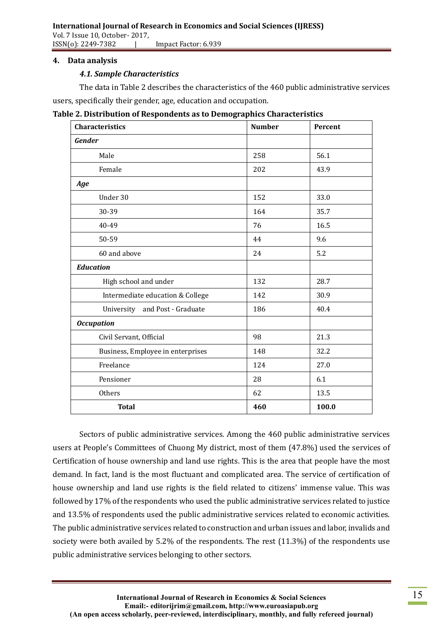ISSN(o): 2249-7382 | Impact Factor: 6.939

## **4. Data analysis**

# *4.1. Sample Characteristics*

The data in Table 2 describes the characteristics of the 460 public administrative services

users, specifically their gender, age, education and occupation.

| <b>Characteristics</b>            | <b>Number</b> | Percent |
|-----------------------------------|---------------|---------|
| Gender                            |               |         |
| Male                              | 258           | 56.1    |
| Female                            | 202           | 43.9    |
| Age                               |               |         |
| Under 30                          | 152           | 33.0    |
| 30-39                             | 164           | 35.7    |
| 40-49                             | 76            | 16.5    |
| 50-59                             | 44            | 9.6     |
| 60 and above                      | 24            | 5.2     |
| <b>Education</b>                  |               |         |
| High school and under             | 132           | 28.7    |
| Intermediate education & College  | 142           | 30.9    |
| and Post - Graduate<br>University | 186           | 40.4    |
| <b>Occupation</b>                 |               |         |
| Civil Servant, Official           | 98            | 21.3    |
| Business, Employee in enterprises | 148           | 32.2    |
| Freelance                         | 124           | 27.0    |
| Pensioner                         | 28            | 6.1     |
| Others                            | 62            | 13.5    |
| <b>Total</b>                      | 460           | 100.0   |

Sectors of public administrative services*.* Among the 460 public administrative services users at People's Committees of Chuong My district, most of them (47.8%) used the services of Certification of house ownership and land use rights. This is the area that people have the most demand. In fact, land is the most fluctuant and complicated area. The service of certification of house ownership and land use rights is the field related to citizens' immense value. This was followed by 17% of the respondents who used the public administrative services related to justice and 13.5% of respondents used the public administrative services related to economic activities. The public administrative services related to construction and urban issues and labor, invalids and society were both availed by 5.2% of the respondents. The rest (11.3%) of the respondents use public administrative services belonging to other sectors.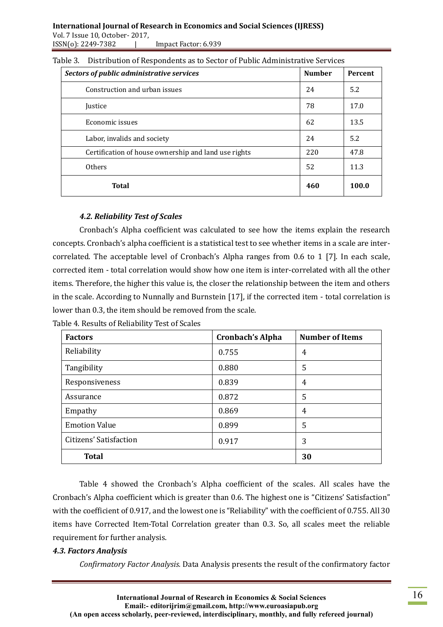| Sectors of public administrative services            | <b>Number</b> | <b>Percent</b> |
|------------------------------------------------------|---------------|----------------|
| Construction and urban issues                        | 24            | 5.2            |
| <i><u><b>Iustice</b></u></i>                         | 78            | 17.0           |
| Economic issues                                      | 62            | 13.5           |
| Labor, invalids and society                          | 24            | 5.2            |
| Certification of house ownership and land use rights | 220           | 47.8           |
| <b>Others</b>                                        | 52            | 11.3           |
| <b>Total</b>                                         | 460           | 100.0          |

| Table 3. Distribution of Respondents as to Sector of Public Administrative Services |  |  |
|-------------------------------------------------------------------------------------|--|--|
|                                                                                     |  |  |

# *4.2. Reliability Test of Scales*

Cronbach's Alpha coefficient was calculated to see how the items explain the research concepts. Cronbach's alpha coefficient is a statistical test to see whether items in a scale are intercorrelated. The acceptable level of Cronbach's Alpha ranges from 0.6 to 1 [7]. In each scale, corrected item - total correlation would show how one item is inter-correlated with all the other items. Therefore, the higher this value is, the closer the relationship between the item and others in the scale. According to Nunnally and Burnstein [17], if the corrected item - total correlation is lower than 0.3, the item should be removed from the scale.

Table 4. Results of Reliability Test of Scales

| <b>Factors</b>         | <b>Cronbach's Alpha</b> | <b>Number of Items</b> |
|------------------------|-------------------------|------------------------|
| Reliability            | 0.755                   | 4                      |
| Tangibility            | 0.880                   | 5                      |
| Responsiveness         | 0.839                   | 4                      |
| Assurance              | 0.872                   | 5                      |
| Empathy                | 0.869                   | 4                      |
| <b>Emotion Value</b>   | 0.899                   | 5                      |
| Citizens' Satisfaction | 0.917                   | 3                      |
| <b>Total</b>           |                         | 30                     |

Table 4 showed the Cronbach's Alpha coefficient of the scales. All scales have the Cronbach's Alpha coefficient which is greater than 0.6. The highest one is "Citizens' Satisfaction" with the coefficient of 0.917, and the lowest one is "Reliability" with the coefficient of 0.755. All 30 items have Corrected Item-Total Correlation greater than 0.3. So, all scales meet the reliable requirement for further analysis.

# *4.3. Factors Analysis*

*Confirmatory Factor Analysis.* Data Analysis presents the result of the confirmatory factor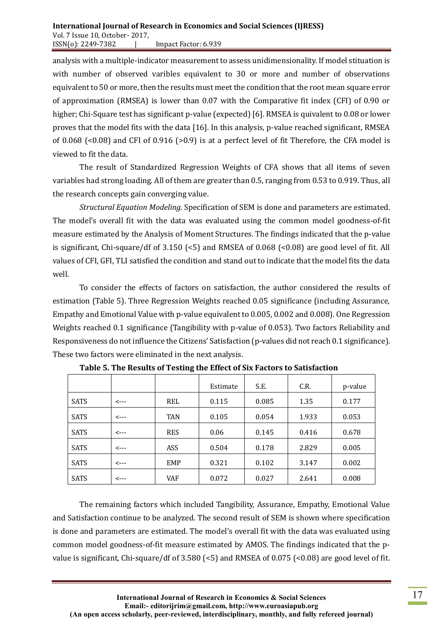analysis with a multiple-indicator measurement to assess unidimensionality. If model stituation is with number of observed varibles equivalent to 30 or more and number of observations equivalent to 50 or more, then the results must meet the condition that the root mean square error of approximation (RMSEA) is lower than 0.07 with the Comparative fit index (CFI) of 0.90 or higher; Chi-Square test has significant p-value (expected) [6]. RMSEA is quivalent to 0.08 or lower proves that the model fits with the data [16]. In this analysis, p-value reached significant, RMSEA of 0.068 (<0.08) and CFI of 0.916 (>0.9) is at a perfect level of fit Therefore, the CFA model is viewed to fit the data.

The result of Standardized Regression Weights of CFA shows that all items of seven variables had strong loading. All of them are greater than 0.5, ranging from 0.53 to 0.919. Thus, all the research concepts gain converging value.

*Structural Equation Modeling.* Specification of SEM is done and parameters are estimated. The model's overall fit with the data was evaluated using the common model goodness-of-fit measure estimated by the Analysis of Moment Structures. The findings indicated that the p-value is significant, Chi-square/df of 3.150 (<5) and RMSEA of 0.068 (<0.08) are good level of fit. All values of CFI, GFI, TLI satisfied the condition and stand out to indicate that the model fits the data well.

To consider the effects of factors on satisfaction, the author considered the results of estimation (Table 5). Three Regression Weights reached 0.05 significance (including Assurance, Empathy and Emotional Value with p-value equivalent to 0.005, 0.002 and 0.008). One Regression Weights reached 0.1 significance (Tangibility with p-value of 0.053). Two factors Reliability and Responsiveness do not influence the Citizens' Satisfaction (p-values did not reach 0.1 significance). These two factors were eliminated in the next analysis.

|             |      |            | Estimate | S.E.  | C.R.  | p-value |
|-------------|------|------------|----------|-------|-------|---------|
| <b>SATS</b> | <--- | <b>REL</b> | 0.115    | 0.085 | 1.35  | 0.177   |
| <b>SATS</b> | <--- | <b>TAN</b> | 0.105    | 0.054 | 1.933 | 0.053   |
| <b>SATS</b> | <--- | <b>RES</b> | 0.06     | 0.145 | 0.416 | 0.678   |
| <b>SATS</b> | <--- | ASS        | 0.504    | 0.178 | 2.829 | 0.005   |
| <b>SATS</b> | <--- | EMP        | 0.321    | 0.102 | 3.147 | 0.002   |
| <b>SATS</b> | <--- | VAF        | 0.072    | 0.027 | 2.641 | 0.008   |

**Table 5. The Results of Testing the Effect of Six Factors to Satisfaction**

The remaining factors which included Tangibility, Assurance, Empathy, Emotional Value and Satisfaction continue to be analyzed. The second result of SEM is shown where specification is done and parameters are estimated. The model's overall fit with the data was evaluated using common model goodness-of-fit measure estimated by AMOS. The findings indicated that the pvalue is significant, Chi-square/df of 3.580 (<5) and RMSEA of 0.075 (<0.08) are good level of fit.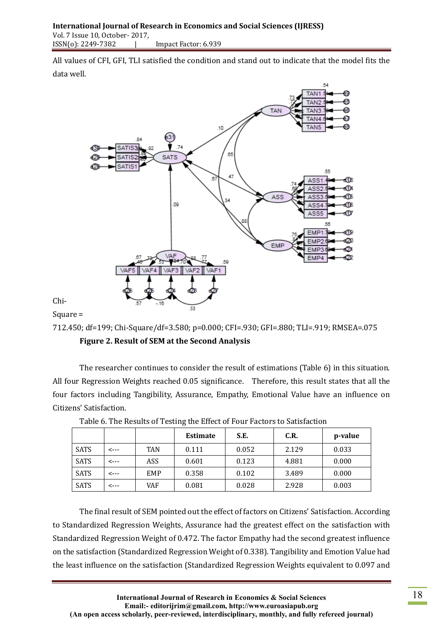All values of CFI, GFI, TLI satisfied the condition and stand out to indicate that the model fits the data well.



Chi-Square =

712.450; df=199; Chi-Square/df=3.580; p=0.000; CFI=.930; GFI=.880; TLI=.919; RMSEA=.075 **Figure 2. Result of SEM at the Second Analysis**

The researcher continues to consider the result of estimations (Table 6) in this situation. All four Regression Weights reached 0.05 significance. Therefore, this result states that all the four factors including Tangibility, Assurance, Empathy, Emotional Value have an influence on Citizens' Satisfaction.

|             |      |            | <b>Estimate</b> | S.E.  | C.R.  | p-value |
|-------------|------|------------|-----------------|-------|-------|---------|
| <b>SATS</b> | <--- | <b>TAN</b> | 0.111           | 0.052 | 2.129 | 0.033   |
| <b>SATS</b> | <--- | ASS        | 0.601           | 0.123 | 4.881 | 0.000   |
| <b>SATS</b> | <--- | EMP        | 0.358           | 0.102 | 3.489 | 0.000   |
| <b>SATS</b> | <--- | VAF        | 0.081           | 0.028 | 2.928 | 0.003   |

| Table 6. The Results of Testing the Effect of Four Factors to Satisfaction |  |  |  |
|----------------------------------------------------------------------------|--|--|--|
|                                                                            |  |  |  |
|                                                                            |  |  |  |

The final result of SEM pointed out the effect of factors on Citizens' Satisfaction. According to Standardized Regression Weights, Assurance had the greatest effect on the satisfaction with Standardized Regression Weight of 0.472. The factor Empathy had the second greatest influence on the satisfaction (Standardized Regression Weight of 0.338). Tangibility and Emotion Value had the least influence on the satisfaction (Standardized Regression Weights equivalent to 0.097 and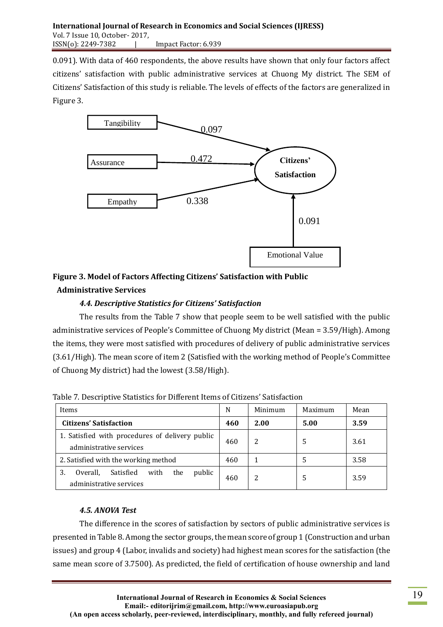0.091). With data of 460 respondents, the above results have shown that only four factors affect citizens' satisfaction with public administrative services at Chuong My district. The SEM of Citizens' Satisfaction of this study is reliable. The levels of effects of the factors are generalized in Figure 3.



# **Figure 3. Model of Factors Affecting Citizens' Satisfaction with Public Administrative Services**

# *4.4. Descriptive Statistics for Citizens' Satisfaction*

The results from the Table 7 show that people seem to be well satisfied with the public administrative services of People's Committee of Chuong My district (Mean = 3.59/High). Among the items, they were most satisfied with procedures of delivery of public administrative services (3.61/High). The mean score of item 2 (Satisfied with the working method of People's Committee of Chuong My district) had the lowest (3.58/High).

| Items                                                                           |     | Minimum | Maximum | Mean |
|---------------------------------------------------------------------------------|-----|---------|---------|------|
| <b>Citizens' Satisfaction</b>                                                   |     | 2.00    | 5.00    | 3.59 |
| 1. Satisfied with procedures of delivery public<br>administrative services      |     | 2       | 5       | 3.61 |
| 2. Satisfied with the working method                                            |     |         | 5       | 3.58 |
| public<br>3.<br>Satisfied<br>with<br>Overall,<br>the<br>administrative services | 460 |         | 5       | 3.59 |

Table 7. Descriptive Statistics for Different Items of Citizens' Satisfaction

# *4.5. ANOVA Test*

The difference in the scores of satisfaction by sectors of public administrative services is presented in Table 8. Among the sector groups, the mean score of group 1 (Construction and urban issues) and group 4 (Labor, invalids and society) had highest mean scores for the satisfaction (the same mean score of 3.7500). As predicted, the field of certification of house ownership and land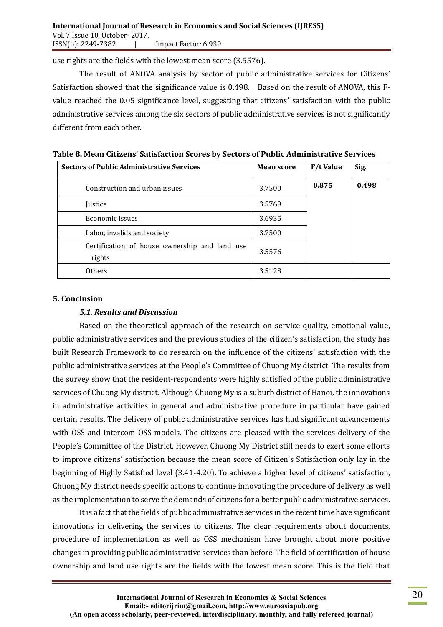use rights are the fields with the lowest mean score (3.5576).

The result of ANOVA analysis by sector of public administrative services for Citizens' Satisfaction showed that the significance value is 0.498. Based on the result of ANOVA, this Fvalue reached the 0.05 significance level, suggesting that citizens' satisfaction with the public administrative services among the six sectors of public administrative services is not significantly different from each other.

| <b>Sectors of Public Administrative Services</b>        | <b>Mean score</b> | <b>F/t Value</b> | Sig.  |
|---------------------------------------------------------|-------------------|------------------|-------|
| Construction and urban issues                           | 3.7500            | 0.875            | 0.498 |
| Justice                                                 | 3.5769            |                  |       |
| Economic issues                                         | 3.6935            |                  |       |
| Labor, invalids and society                             | 3.7500            |                  |       |
| Certification of house ownership and land use<br>rights | 3.5576            |                  |       |
| Others                                                  | 3.5128            |                  |       |

**Table 8. Mean Citizens' Satisfaction Scores by Sectors of Public Administrative Services**

### **5. Conclusion**

### *5.1. Results and Discussion*

Based on the theoretical approach of the research on service quality, emotional value, public administrative services and the previous studies of the citizen's satisfaction, the study has built Research Framework to do research on the influence of the citizens' satisfaction with the public administrative services at the People's Committee of Chuong My district. The results from the survey show that the resident-respondents were highly satisfied of the public administrative services of Chuong My district. Although Chuong My is a suburb district of Hanoi, the innovations in administrative activities in general and administrative procedure in particular have gained certain results. The delivery of public administrative services has had significant advancements with OSS and intercom OSS models. The citizens are pleased with the services delivery of the People's Committee of the District. However, Chuong My District still needs to exert some efforts to improve citizens' satisfaction because the mean score of Citizen's Satisfaction only lay in the beginning of Highly Satisfied level (3.41-4.20). To achieve a higher level of citizens' satisfaction, Chuong My district needs specific actions to continue innovating the procedure of delivery as well as the implementation to serve the demands of citizens for a better public administrative services.

It is a fact that the fields of public administrative services in the recent time have significant innovations in delivering the services to citizens. The clear requirements about documents, procedure of implementation as well as OSS mechanism have brought about more positive changes in providing public administrative services than before. The field of certification of house ownership and land use rights are the fields with the lowest mean score. This is the field that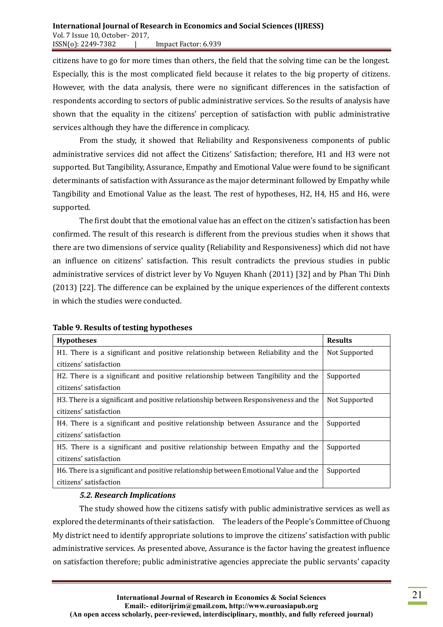### **International Journal of Research in Economics and Social Sciences (IJRESS)** Vol. 7 Issue 10, October- 2017, ISSN(o): 2249-7382 | Impact Factor: 6.939

citizens have to go for more times than others, the field that the solving time can be the longest. Especially, this is the most complicated field because it relates to the big property of citizens. However, with the data analysis, there were no significant differences in the satisfaction of respondents according to sectors of public administrative services. So the results of analysis have shown that the equality in the citizens' perception of satisfaction with public administrative services although they have the difference in complicacy.

From the study, it showed that Reliability and Responsiveness components of public administrative services did not affect the Citizens' Satisfaction; therefore, H1 and H3 were not supported. But Tangibility, Assurance, Empathy and Emotional Value were found to be significant determinants of satisfaction with Assurance as the major determinant followed by Empathy while Tangibility and Emotional Value as the least. The rest of hypotheses, H2, H4, H5 and H6, were supported.

The first doubt that the emotional value has an effect on the citizen's satisfaction has been confirmed. The result of this research is different from the previous studies when it shows that there are two dimensions of service quality (Reliability and Responsiveness) which did not have an influence on citizens' satisfaction. This result contradicts the previous studies in public administrative services of district lever by Vo Nguyen Khanh (2011) [32] and by Phan Thi Dinh (2013) [22]. The difference can be explained by the unique experiences of the different contexts in which the studies were conducted.

| <b>Hypotheses</b>                                                                    | <b>Results</b> |
|--------------------------------------------------------------------------------------|----------------|
| H1. There is a significant and positive relationship between Reliability and the     | Not Supported  |
| citizens' satisfaction                                                               |                |
| H2. There is a significant and positive relationship between Tangibility and the     | Supported      |
| citizens' satisfaction                                                               |                |
| H3. There is a significant and positive relationship between Responsiveness and the  | Not Supported  |
| citizens' satisfaction                                                               |                |
| H4. There is a significant and positive relationship between Assurance and the       | Supported      |
| citizens' satisfaction                                                               |                |
| H5. There is a significant and positive relationship between Empathy and the         | Supported      |
| citizens' satisfaction                                                               |                |
| H6. There is a significant and positive relationship between Emotional Value and the | Supported      |
| citizens' satisfaction                                                               |                |

## **Table 9. Results of testing hypotheses**

## *5.2. Research Implications*

The study showed how the citizens satisfy with public administrative services as well as explored the determinants of their satisfaction. The leaders of the People's Committee of Chuong My district need to identify appropriate solutions to improve the citizens' satisfaction with public administrative services. As presented above, Assurance is the factor having the greatest influence on satisfaction therefore; public administrative agencies appreciate the public servants' capacity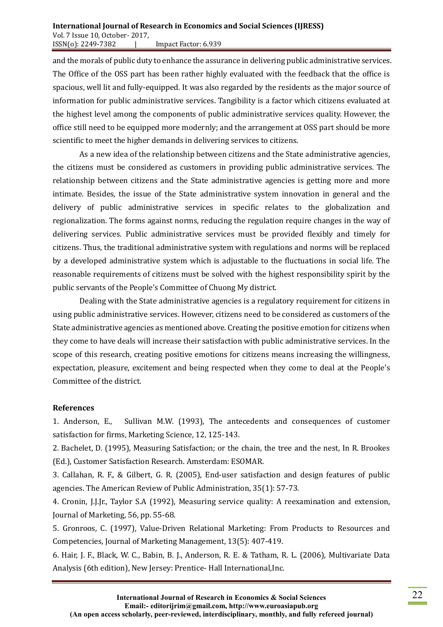#### **International Journal of Research in Economics and Social Sciences (IJRESS)** Vol. 7 Issue 10, October- 2017, ISSN(o): 2249-7382 | Impact Factor: 6.939

and the morals of public duty to enhance the assurance in delivering public administrative services. The Office of the OSS part has been rather highly evaluated with the feedback that the office is spacious, well lit and fully-equipped. It was also regarded by the residents as the major source of information for public administrative services. Tangibility is a factor which citizens evaluated at the highest level among the components of public administrative services quality. However, the office still need to be equipped more modernly; and the arrangement at OSS part should be more scientific to meet the higher demands in delivering services to citizens.

As a new idea of the relationship between citizens and the State administrative agencies, the citizens must be considered as customers in providing public administrative services. The relationship between citizens and the State administrative agencies is getting more and more intimate. Besides, the issue of the State administrative system innovation in general and the delivery of public administrative services in specific relates to the globalization and regionalization. The forms against norms, reducing the regulation require changes in the way of delivering services. Public administrative services must be provided flexibly and timely for citizens. Thus, the traditional administrative system with regulations and norms will be replaced by a developed administrative system which is adjustable to the fluctuations in social life. The reasonable requirements of citizens must be solved with the highest responsibility spirit by the public servants of the People's Committee of Chuong My district.

Dealing with the State administrative agencies is a regulatory requirement for citizens in using public administrative services. However, citizens need to be considered as customers of the State administrative agencies as mentioned above. Creating the positive emotion for citizens when they come to have deals will increase their satisfaction with public administrative services. In the scope of this research, creating positive emotions for citizens means increasing the willingness, expectation, pleasure, excitement and being respected when they come to deal at the People's Committee of the district.

### **References**

1. Anderson, E., Sullivan M.W. (1993), The antecedents and consequences of customer satisfaction for firms, Marketing Science, 12, 125-143.

2. Bachelet, D. (1995), Measuring Satisfaction; or the chain, the tree and the nest, In R. Brookes (Ed.), Customer Satisfaction Research. Amsterdam: ESOMAR.

3. Callahan, R. F., & Gilbert, G. R. (2005), End-user satisfaction and design features of public agencies. The American Review of Public Administration, 35(1): 57-73.

4. Cronin, J.J.Jr., Taylor S.A (1992), Measuring service quality: A reexamination and extension, Journal of Marketing, 56, pp. 55-68.

5. Gronroos, C. (1997), Value-Driven Relational Marketing: From Products to Resources and Competencies, Journal of Marketing Management, 13(5): 407-419.

6. Hair, J. F., Black, W. C., Babin, B. J., Anderson, R. E. & Tatham, R. L. (2006), Multivariate Data Analysis (6th edition), New Jersey: Prentice- Hall International,Inc.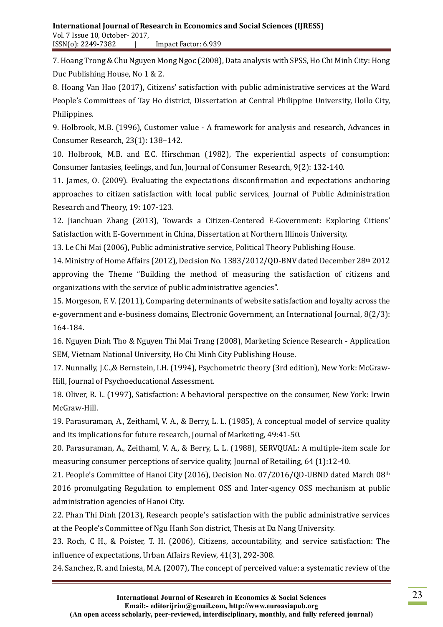7. Hoang Trong & Chu Nguyen Mong Ngoc (2008), Data analysis with SPSS, Ho Chi Minh City: Hong Duc Publishing House, No 1 & 2.

8. Hoang Van Hao (2017), Citizens' satisfaction with public administrative services at the Ward People's Committees of Tay Ho district, Dissertation at Central Philippine University, Iloilo City, Philippines.

9. Holbrook, M.B. (1996), Customer value - A framework for analysis and research, Advances in Consumer Research, 23(1): 138–142.

10. Holbrook, M.B. and E.C. Hirschman (1982), The experiential aspects of consumption: Consumer fantasies, feelings, and fun, Journal of Consumer Research, 9(2): 132-140.

11. James, O. (2009). Evaluating the expectations disconfirmation and expectations anchoring approaches to citizen satisfaction with local public services, Journal of Public Administration Research and Theory, 19: 107-123.

12. Jianchuan Zhang (2013), Towards a Citizen-Centered E-Government: Exploring Citiens' Satisfaction with E-Government in China, Dissertation at Northern Illinois University.

13. Le Chi Mai (2006), Public administrative service, Political Theory Publishing House.

14. Ministry of Home Affairs (2012), Decision No. 1383/2012/QD-BNV dated December 28th 2012 approving the Theme "Building the method of measuring the satisfaction of citizens and organizations with the service of public administrative agencies".

15. Morgeson, F. V. (2011), Comparing determinants of website satisfaction and loyalty across the e-government and e-business domains, Electronic Government, an International Journal, 8(2/3): 164-184.

16. Nguyen Dinh Tho & Nguyen Thi Mai Trang (2008), Marketing Science Research - Application SEM, Vietnam National University, Ho Chi Minh City Publishing House.

17. Nunnally, J.C.,& Bernstein, I.H. (1994), Psychometric theory (3rd edition), New York: McGraw-Hill, Journal of Psychoeducational Assessment.

18. Oliver, R. L. (1997), Satisfaction: A behavioral perspective on the consumer, New York: Irwin McGraw-Hill.

19. Parasuraman, A., Zeithaml, V. A., & Berry, L. L. (1985), A conceptual model of service quality and its implications for future research, Journal of Marketing, 49:41-50.

20. Parasuraman, A., Zeithaml, V. A., & Berry, L. L. (1988), SERVQUAL: A multiple-item scale for measuring consumer perceptions of service quality, Journal of Retailing, 64 (1):12-40.

21. People's Committee of Hanoi City (2016), Decision No. 07/2016/QD-UBND dated March 08th 2016 promulgating Regulation to emplement OSS and Inter-agency OSS mechanism at public administration agencies of Hanoi City.

22. Phan Thi Dinh (2013), Research people's satisfaction with the public administrative services at the People's Committee of Ngu Hanh Son district, Thesis at Da Nang University.

23. Roch, C H., & Poister, T. H. (2006), Citizens, accountability, and service satisfaction: The influence of expectations, Urban Affairs Review, 41(3), 292-308.

24. Sanchez, R. and Iniesta, M.A. (2007), The concept of perceived value: a systematic review of the